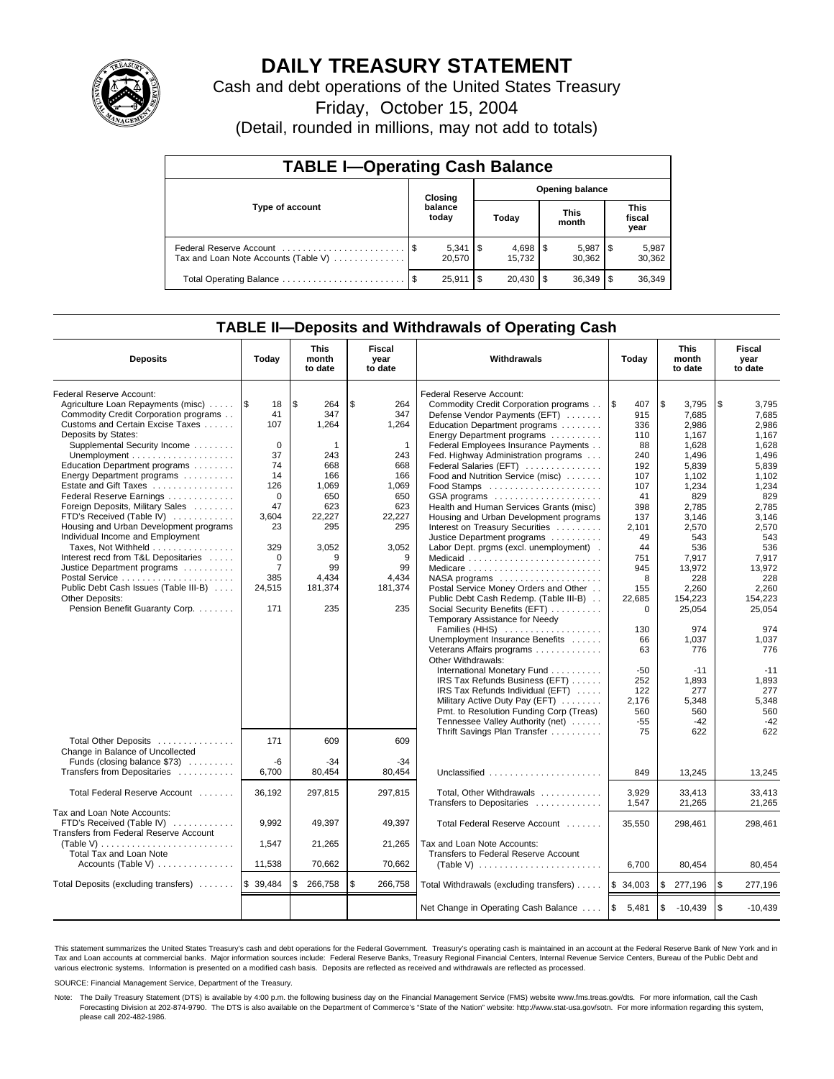

# **DAILY TREASURY STATEMENT**

Cash and debt operations of the United States Treasury

Friday, October 15, 2004

(Detail, rounded in millions, may not add to totals)

| <b>TABLE I-Operating Cash Balance</b>                           |                  |                              |    |                        |  |                      |     |                               |  |  |
|-----------------------------------------------------------------|------------------|------------------------------|----|------------------------|--|----------------------|-----|-------------------------------|--|--|
|                                                                 |                  | Closing                      |    | <b>Opening balance</b> |  |                      |     |                               |  |  |
| Type of account                                                 | balance<br>today |                              |    | Today                  |  | <b>This</b><br>month |     | <b>This</b><br>fiscal<br>year |  |  |
| Federal Reserve Account<br>Tax and Loan Note Accounts (Table V) |                  | $5,341$ $\sqrt{5}$<br>20,570 |    | 15.732                 |  | 5,987<br>30.362      | 1 S | 5,987<br>30,362               |  |  |
| Total Operating Balance                                         |                  | 25.911                       | \$ | $20.430$ \$            |  | 36.349               | 1\$ | 36,349                        |  |  |

## **TABLE II—Deposits and Withdrawals of Operating Cash**

| <b>Deposits</b>                               | Today          | <b>This</b><br>month<br>to date | <b>Fiscal</b><br>Withdrawals<br>Today<br>year<br>to date |                                                      | <b>This</b><br>month<br>to date | <b>Fiscal</b><br>year<br>to date |                   |
|-----------------------------------------------|----------------|---------------------------------|----------------------------------------------------------|------------------------------------------------------|---------------------------------|----------------------------------|-------------------|
| Federal Reserve Account:                      |                |                                 |                                                          | Federal Reserve Account:                             |                                 |                                  |                   |
| Agriculture Loan Repayments (misc)            | 1\$<br>18      | l \$<br>264                     | \$<br>264                                                | Commodity Credit Corporation programs                | l \$<br>407                     | \$<br>3.795                      | \$<br>3,795       |
| Commodity Credit Corporation programs         | 41             | 347                             | 347                                                      | Defense Vendor Payments (EFT)                        | 915                             | 7.685                            | 7.685             |
| Customs and Certain Excise Taxes              | 107            | 1,264                           | 1,264                                                    | Education Department programs                        | 336                             | 2.986                            | 2,986             |
| Deposits by States:                           |                |                                 |                                                          | Energy Department programs                           | 110                             | 1,167                            | 1,167             |
| Supplemental Security Income                  | $\Omega$       | 1                               | $\mathbf{1}$                                             | Federal Employees Insurance Payments                 | 88                              | 1,628                            | 1,628             |
|                                               | 37             | 243                             | 243                                                      | Fed. Highway Administration programs                 | 240                             | 1,496                            | 1,496             |
| Education Department programs                 | 74             | 668                             | 668                                                      | Federal Salaries (EFT)                               | 192                             | 5,839                            | 5,839             |
| Energy Department programs                    | 14             | 166                             | 166                                                      | Food and Nutrition Service (misc)                    | 107                             | 1.102                            | 1.102             |
| Estate and Gift Taxes                         | 126            | 1,069                           | 1.069                                                    |                                                      | 107                             | 1,234                            | 1,234             |
| Federal Reserve Earnings                      | $\Omega$       | 650                             | 650                                                      | GSA programs                                         | 41                              | 829                              | 829               |
| Foreign Deposits, Military Sales              | 47             | 623                             | 623                                                      | Health and Human Services Grants (misc)              | 398                             | 2.785                            | 2,785             |
| FTD's Received (Table IV)                     | 3.604          | 22,227                          | 22,227                                                   | Housing and Urban Development programs               | 137                             | 3,146                            | 3,146             |
| Housing and Urban Development programs        | 23             | 295                             | 295                                                      | Interest on Treasury Securities                      | 2,101                           | 2,570                            | 2,570             |
| Individual Income and Employment              |                |                                 |                                                          | Justice Department programs                          | 49                              | 543                              | 543               |
| Taxes, Not Withheld                           | 329            | 3,052                           | 3,052                                                    | Labor Dept. prgms (excl. unemployment).              | 44                              | 536                              | 536               |
| Interest recd from T&L Depositaries           | $\Omega$       | 9                               | 9                                                        | Medicaid                                             | 751                             | 7,917                            | 7.917             |
| Justice Department programs                   | $\overline{7}$ | 99                              | 99                                                       | Medicare                                             | 945                             | 13.972                           | 13,972            |
|                                               | 385            | 4.434                           | 4.434                                                    | $NASA$ programs $\ldots \ldots \ldots \ldots \ldots$ | 8                               | 228                              | 228               |
| Public Debt Cash Issues (Table III-B)         | 24,515         | 181,374                         | 181,374                                                  | Postal Service Money Orders and Other                | 155                             | 2,260                            | 2,260             |
| <b>Other Deposits:</b>                        |                |                                 |                                                          | Public Debt Cash Redemp. (Table III-B)               | 22,685                          | 154,223                          | 154,223           |
| Pension Benefit Guaranty Corp.                | 171            | 235                             | 235                                                      | Social Security Benefits (EFT)                       | $\mathbf 0$                     | 25,054                           | 25,054            |
|                                               |                |                                 |                                                          | Temporary Assistance for Needy                       |                                 |                                  |                   |
|                                               |                |                                 |                                                          | Families (HHS)                                       | 130                             | 974                              | 974               |
|                                               |                |                                 |                                                          | Unemployment Insurance Benefits                      | 66                              | 1.037                            | 1.037             |
|                                               |                |                                 |                                                          | Veterans Affairs programs                            | 63                              | 776                              | 776               |
|                                               |                |                                 |                                                          | Other Withdrawals:                                   |                                 |                                  |                   |
|                                               |                |                                 |                                                          | International Monetary Fund                          | $-50$                           | $-11$                            | $-11$             |
|                                               |                |                                 |                                                          | IRS Tax Refunds Business (EFT)                       | 252                             | 1,893                            | 1,893             |
|                                               |                |                                 |                                                          | IRS Tax Refunds Individual (EFT)                     | 122                             | 277                              | 277               |
|                                               |                |                                 |                                                          | Military Active Duty Pay (EFT)                       | 2.176                           | 5.348                            | 5,348             |
|                                               |                |                                 |                                                          | Pmt. to Resolution Funding Corp (Treas)              | 560                             | 560                              | 560               |
|                                               |                |                                 |                                                          | Tennessee Valley Authority (net)                     | $-55$                           | $-42$                            | $-42$             |
|                                               |                |                                 |                                                          | Thrift Savings Plan Transfer                         | 75                              | 622                              | 622               |
| Total Other Deposits                          | 171            | 609                             | 609                                                      |                                                      |                                 |                                  |                   |
| Change in Balance of Uncollected              |                |                                 |                                                          |                                                      |                                 |                                  |                   |
| Funds (closing balance \$73)                  | $-6$           | $-34$                           | $-34$                                                    |                                                      |                                 |                                  |                   |
| Transfers from Depositaries                   | 6,700          | 80,454                          | 80,454                                                   | Unclassified                                         | 849                             | 13,245                           | 13,245            |
|                                               |                |                                 |                                                          |                                                      |                                 |                                  |                   |
| Total Federal Reserve Account                 | 36.192         | 297,815                         | 297.815                                                  | Total, Other Withdrawals                             | 3,929                           | 33,413                           | 33,413            |
|                                               |                |                                 |                                                          | Transfers to Depositaries                            | 1,547                           | 21,265                           | 21,265            |
| Tax and Loan Note Accounts:                   |                |                                 |                                                          |                                                      |                                 |                                  |                   |
| FTD's Received (Table IV)                     | 9,992          | 49,397                          | 49,397                                                   | Total Federal Reserve Account                        | 35,550                          | 298,461                          | 298,461           |
| <b>Transfers from Federal Reserve Account</b> |                |                                 |                                                          |                                                      |                                 |                                  |                   |
|                                               | 1,547          | 21,265                          | 21,265                                                   | Tax and Loan Note Accounts:                          |                                 |                                  |                   |
| Total Tax and Loan Note                       |                |                                 |                                                          | Transfers to Federal Reserve Account                 |                                 |                                  |                   |
| Accounts (Table V)                            | 11,538         | 70,662                          | 70.662                                                   |                                                      | 6,700                           | 80,454                           | 80,454            |
|                                               |                |                                 |                                                          |                                                      |                                 |                                  |                   |
| Total Deposits (excluding transfers)          | \$39,484       | 266,758<br>\$                   | \$<br>266,758                                            | Total Withdrawals (excluding transfers)              | $\mathbb{S}$<br>34,003          | \$<br>277,196                    | \$<br>277,196     |
|                                               |                |                                 |                                                          |                                                      |                                 |                                  |                   |
|                                               |                |                                 |                                                          | Net Change in Operating Cash Balance                 | l\$<br>5,481                    | \$<br>$-10,439$                  | l \$<br>$-10,439$ |

This statement summarizes the United States Treasury's cash and debt operations for the Federal Government. Treasury's operating cash is maintained in an account at the Federal Reserve Bank of New York and in Tax and Loan accounts at commercial banks. Major information sources include: Federal Reserve Banks, Treasury Regional Financial Centers, Internal Revenue Service Centers, Bureau of the Public Debt and<br>various electronic s

SOURCE: Financial Management Service, Department of the Treasury.

Note: The Daily Treasury Statement (DTS) is available by 4:00 p.m. the following business day on the Financial Management Service (FMS) website www.fms.treas.gov/dts. For more information, call the Cash Forecasting Division at 202-874-9790. The DTS is also available on the Department of Commerce's "State of the Nation" website: http://www.stat-usa.gov/sotn. For more information regarding this system, please call 202-482-1986.